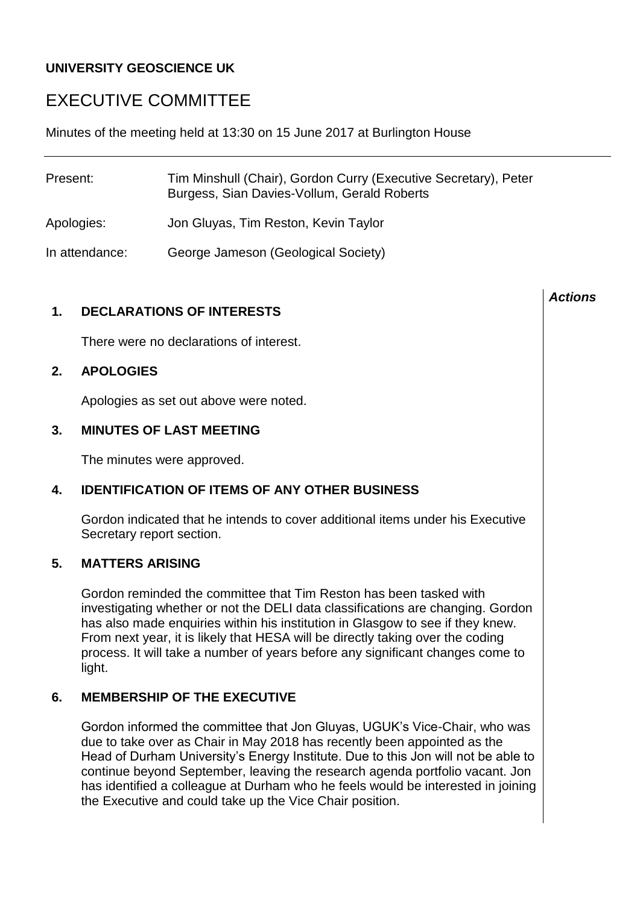# **UNIVERSITY GEOSCIENCE UK**

# EXECUTIVE COMMITTEE

Minutes of the meeting held at 13:30 on 15 June 2017 at Burlington House

| Present:       | Tim Minshull (Chair), Gordon Curry (Executive Secretary), Peter<br>Burgess, Sian Davies-Vollum, Gerald Roberts |
|----------------|----------------------------------------------------------------------------------------------------------------|
| Apologies:     | Jon Gluyas, Tim Reston, Kevin Taylor                                                                           |
| In attendance: | George Jameson (Geological Society)                                                                            |

# **1. DECLARATIONS OF INTERESTS**

There were no declarations of interest.

# **2. APOLOGIES**

Apologies as set out above were noted.

# **3. MINUTES OF LAST MEETING**

The minutes were approved.

# **4. IDENTIFICATION OF ITEMS OF ANY OTHER BUSINESS**

Gordon indicated that he intends to cover additional items under his Executive Secretary report section.

# **5. MATTERS ARISING**

Gordon reminded the committee that Tim Reston has been tasked with investigating whether or not the DELI data classifications are changing. Gordon has also made enquiries within his institution in Glasgow to see if they knew. From next year, it is likely that HESA will be directly taking over the coding process. It will take a number of years before any significant changes come to light.

# **6. MEMBERSHIP OF THE EXECUTIVE**

Gordon informed the committee that Jon Gluyas, UGUK's Vice-Chair, who was due to take over as Chair in May 2018 has recently been appointed as the Head of Durham University's Energy Institute. Due to this Jon will not be able to continue beyond September, leaving the research agenda portfolio vacant. Jon has identified a colleague at Durham who he feels would be interested in joining the Executive and could take up the Vice Chair position.

#### *Actions*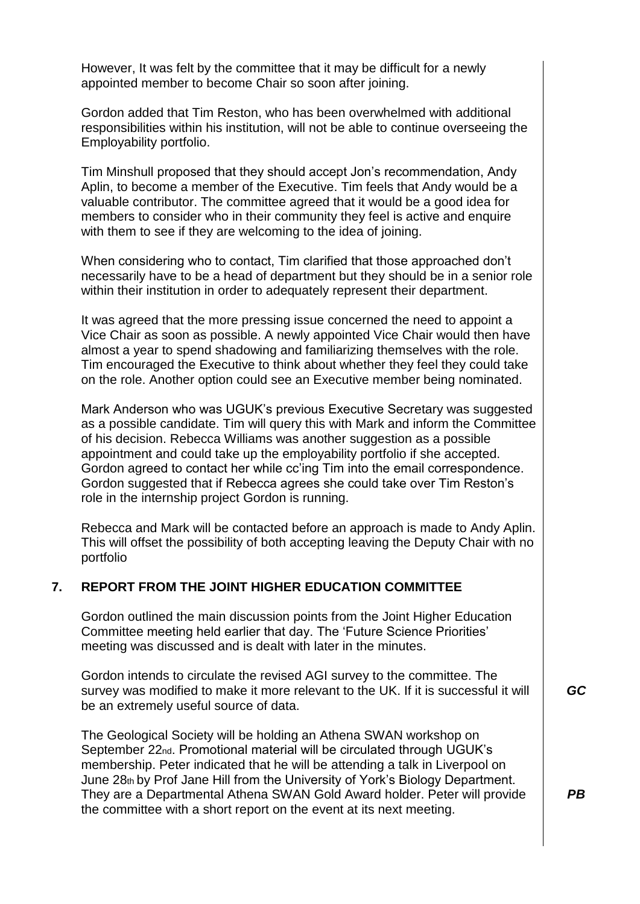However, It was felt by the committee that it may be difficult for a newly appointed member to become Chair so soon after joining.

Gordon added that Tim Reston, who has been overwhelmed with additional responsibilities within his institution, will not be able to continue overseeing the Employability portfolio.

Tim Minshull proposed that they should accept Jon's recommendation, Andy Aplin, to become a member of the Executive. Tim feels that Andy would be a valuable contributor. The committee agreed that it would be a good idea for members to consider who in their community they feel is active and enquire with them to see if they are welcoming to the idea of joining.

When considering who to contact, Tim clarified that those approached don't necessarily have to be a head of department but they should be in a senior role within their institution in order to adequately represent their department.

It was agreed that the more pressing issue concerned the need to appoint a Vice Chair as soon as possible. A newly appointed Vice Chair would then have almost a year to spend shadowing and familiarizing themselves with the role. Tim encouraged the Executive to think about whether they feel they could take on the role. Another option could see an Executive member being nominated.

Mark Anderson who was UGUK's previous Executive Secretary was suggested as a possible candidate. Tim will query this with Mark and inform the Committee of his decision. Rebecca Williams was another suggestion as a possible appointment and could take up the employability portfolio if she accepted. Gordon agreed to contact her while cc'ing Tim into the email correspondence. Gordon suggested that if Rebecca agrees she could take over Tim Reston's role in the internship project Gordon is running.

Rebecca and Mark will be contacted before an approach is made to Andy Aplin. This will offset the possibility of both accepting leaving the Deputy Chair with no portfolio

# **7. REPORT FROM THE JOINT HIGHER EDUCATION COMMITTEE**

Gordon outlined the main discussion points from the Joint Higher Education Committee meeting held earlier that day. The 'Future Science Priorities' meeting was discussed and is dealt with later in the minutes.

Gordon intends to circulate the revised AGI survey to the committee. The survey was modified to make it more relevant to the UK. If it is successful it will be an extremely useful source of data.

The Geological Society will be holding an Athena SWAN workshop on September 22<sub>nd</sub>. Promotional material will be circulated through UGUK's membership. Peter indicated that he will be attending a talk in Liverpool on June 28th by Prof Jane Hill from the University of York's Biology Department. They are a Departmental Athena SWAN Gold Award holder. Peter will provide the committee with a short report on the event at its next meeting.

*GC*

*PB*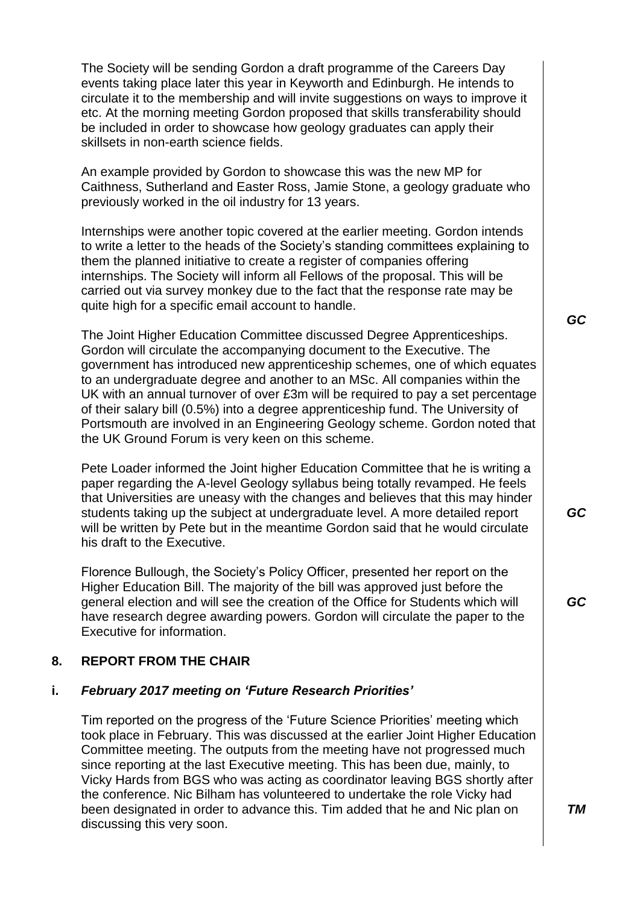The Society will be sending Gordon a draft programme of the Careers Day events taking place later this year in Keyworth and Edinburgh. He intends to circulate it to the membership and will invite suggestions on ways to improve it etc. At the morning meeting Gordon proposed that skills transferability should be included in order to showcase how geology graduates can apply their skillsets in non-earth science fields.

An example provided by Gordon to showcase this was the new MP for Caithness, Sutherland and Easter Ross, Jamie Stone, a geology graduate who previously worked in the oil industry for 13 years.

Internships were another topic covered at the earlier meeting. Gordon intends to write a letter to the heads of the Society's standing committees explaining to them the planned initiative to create a register of companies offering internships. The Society will inform all Fellows of the proposal. This will be carried out via survey monkey due to the fact that the response rate may be quite high for a specific email account to handle.

The Joint Higher Education Committee discussed Degree Apprenticeships. Gordon will circulate the accompanying document to the Executive. The government has introduced new apprenticeship schemes, one of which equates to an undergraduate degree and another to an MSc. All companies within the UK with an annual turnover of over £3m will be required to pay a set percentage of their salary bill (0.5%) into a degree apprenticeship fund. The University of Portsmouth are involved in an Engineering Geology scheme. Gordon noted that the UK Ground Forum is very keen on this scheme.

Pete Loader informed the Joint higher Education Committee that he is writing a paper regarding the A-level Geology syllabus being totally revamped. He feels that Universities are uneasy with the changes and believes that this may hinder students taking up the subject at undergraduate level. A more detailed report will be written by Pete but in the meantime Gordon said that he would circulate his draft to the Executive.

Florence Bullough, the Society's Policy Officer, presented her report on the Higher Education Bill. The majority of the bill was approved just before the general election and will see the creation of the Office for Students which will have research degree awarding powers. Gordon will circulate the paper to the Executive for information.

# **8. REPORT FROM THE CHAIR**

#### **i.** *February 2017 meeting on 'Future Research Priorities'*

Tim reported on the progress of the 'Future Science Priorities' meeting which took place in February. This was discussed at the earlier Joint Higher Education Committee meeting. The outputs from the meeting have not progressed much since reporting at the last Executive meeting. This has been due, mainly, to Vicky Hards from BGS who was acting as coordinator leaving BGS shortly after the conference. Nic Bilham has volunteered to undertake the role Vicky had been designated in order to advance this. Tim added that he and Nic plan on discussing this very soon.

*GC*

*GC*

*GC*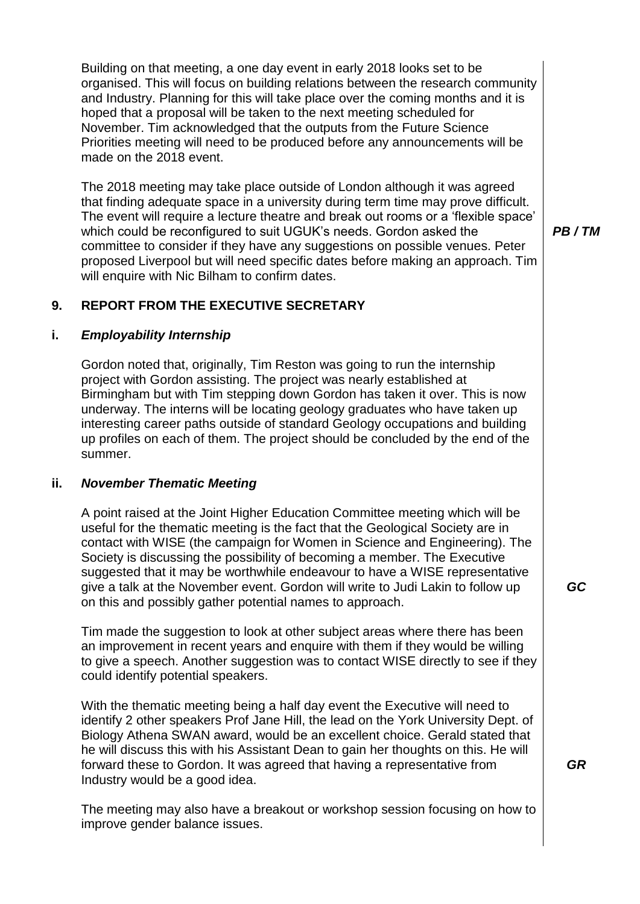Building on that meeting, a one day event in early 2018 looks set to be organised. This will focus on building relations between the research community and Industry. Planning for this will take place over the coming months and it is hoped that a proposal will be taken to the next meeting scheduled for November. Tim acknowledged that the outputs from the Future Science Priorities meeting will need to be produced before any announcements will be made on the 2018 event.

The 2018 meeting may take place outside of London although it was agreed that finding adequate space in a university during term time may prove difficult. The event will require a lecture theatre and break out rooms or a 'flexible space' which could be reconfigured to suit UGUK's needs. Gordon asked the committee to consider if they have any suggestions on possible venues. Peter proposed Liverpool but will need specific dates before making an approach. Tim will enquire with Nic Bilham to confirm dates.

*PB / TM*

# **9. REPORT FROM THE EXECUTIVE SECRETARY**

#### **i.** *Employability Internship*

Gordon noted that, originally, Tim Reston was going to run the internship project with Gordon assisting. The project was nearly established at Birmingham but with Tim stepping down Gordon has taken it over. This is now underway. The interns will be locating geology graduates who have taken up interesting career paths outside of standard Geology occupations and building up profiles on each of them. The project should be concluded by the end of the summer.

#### **ii.** *November Thematic Meeting*

A point raised at the Joint Higher Education Committee meeting which will be useful for the thematic meeting is the fact that the Geological Society are in contact with WISE (the campaign for Women in Science and Engineering). The Society is discussing the possibility of becoming a member. The Executive suggested that it may be worthwhile endeavour to have a WISE representative give a talk at the November event. Gordon will write to Judi Lakin to follow up on this and possibly gather potential names to approach.

Tim made the suggestion to look at other subject areas where there has been an improvement in recent years and enquire with them if they would be willing to give a speech. Another suggestion was to contact WISE directly to see if they could identify potential speakers.

With the thematic meeting being a half day event the Executive will need to identify 2 other speakers Prof Jane Hill, the lead on the York University Dept. of Biology Athena SWAN award, would be an excellent choice. Gerald stated that he will discuss this with his Assistant Dean to gain her thoughts on this. He will forward these to Gordon. It was agreed that having a representative from Industry would be a good idea.

The meeting may also have a breakout or workshop session focusing on how to improve gender balance issues.

*GC*

*GR*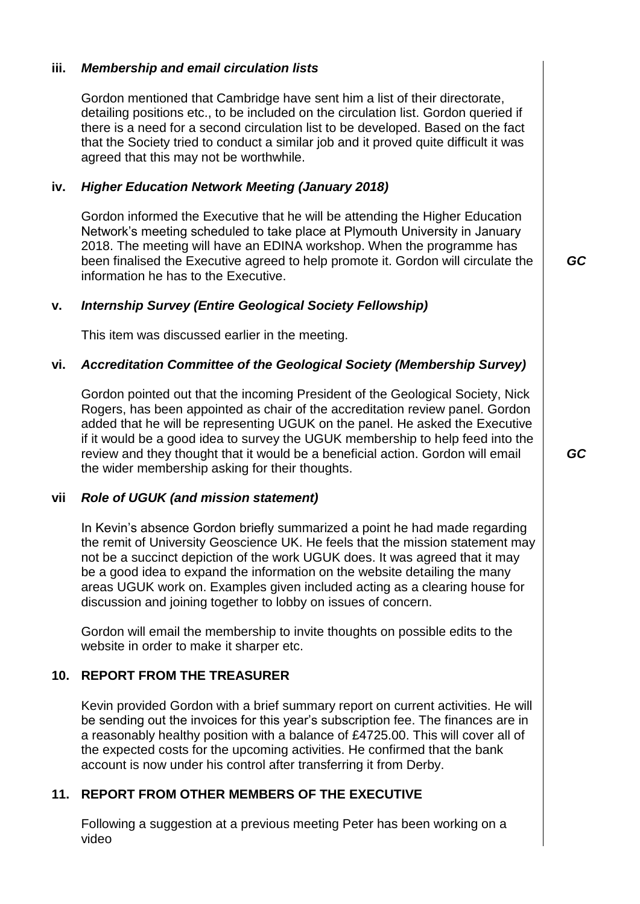# **iii.** *Membership and email circulation lists*

Gordon mentioned that Cambridge have sent him a list of their directorate, detailing positions etc., to be included on the circulation list. Gordon queried if there is a need for a second circulation list to be developed. Based on the fact that the Society tried to conduct a similar job and it proved quite difficult it was agreed that this may not be worthwhile.

# **iv.** *Higher Education Network Meeting (January 2018)*

Gordon informed the Executive that he will be attending the Higher Education Network's meeting scheduled to take place at Plymouth University in January 2018. The meeting will have an EDINA workshop. When the programme has been finalised the Executive agreed to help promote it. Gordon will circulate the information he has to the Executive.

*GC*

# **v.** *Internship Survey (Entire Geological Society Fellowship)*

This item was discussed earlier in the meeting.

#### **vi.** *Accreditation Committee of the Geological Society (Membership Survey)*

Gordon pointed out that the incoming President of the Geological Society, Nick Rogers, has been appointed as chair of the accreditation review panel. Gordon added that he will be representing UGUK on the panel. He asked the Executive if it would be a good idea to survey the UGUK membership to help feed into the review and they thought that it would be a beneficial action. Gordon will email the wider membership asking for their thoughts.

#### **vii** *Role of UGUK (and mission statement)*

In Kevin's absence Gordon briefly summarized a point he had made regarding the remit of University Geoscience UK. He feels that the mission statement may not be a succinct depiction of the work UGUK does. It was agreed that it may be a good idea to expand the information on the website detailing the many areas UGUK work on. Examples given included acting as a clearing house for discussion and joining together to lobby on issues of concern.

Gordon will email the membership to invite thoughts on possible edits to the website in order to make it sharper etc.

# **10. REPORT FROM THE TREASURER**

Kevin provided Gordon with a brief summary report on current activities. He will be sending out the invoices for this year's subscription fee. The finances are in a reasonably healthy position with a balance of £4725.00. This will cover all of the expected costs for the upcoming activities. He confirmed that the bank account is now under his control after transferring it from Derby.

# **11. REPORT FROM OTHER MEMBERS OF THE EXECUTIVE**

Following a suggestion at a previous meeting Peter has been working on a video

*GC*